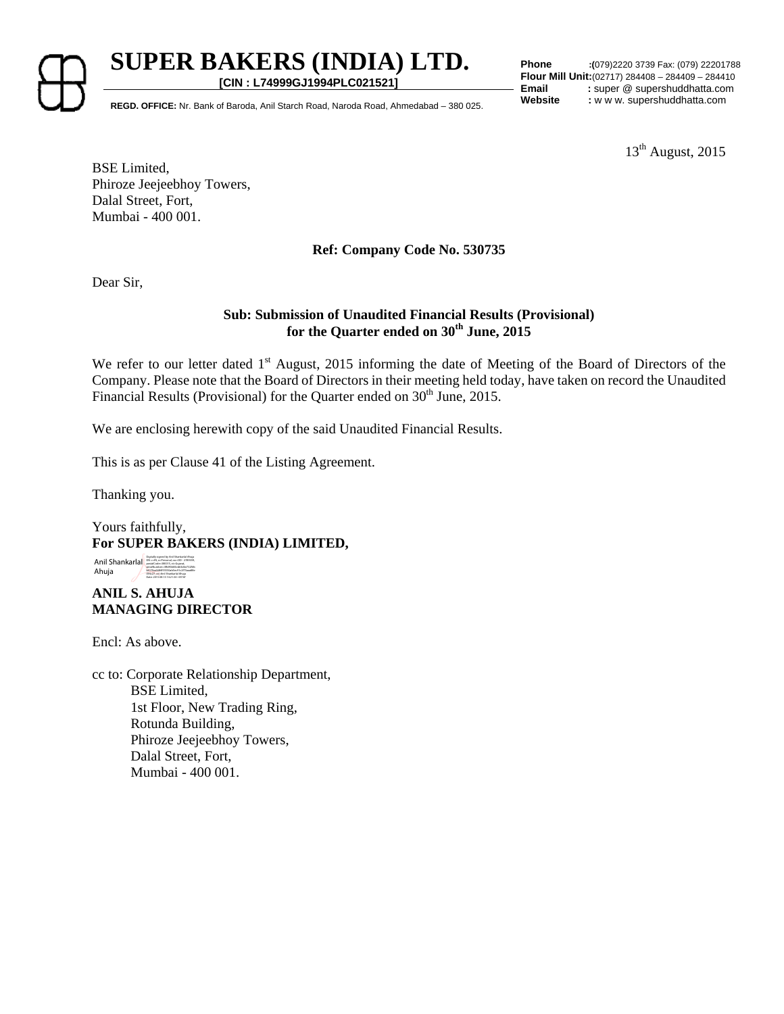

**SUPER BAKERS (INDIA) LTD. [CIN : L74999GJ1994PLC021521]**

**Phone :(**079)2220 3739 Fax: (079) 22201788 **Flour Mill Unit:**(02717) 284408 – 284409 – 284410 **Email** : super @ supershuddhatta.com

REGD. OFFICE: Nr. Bank of Baroda, Anil Starch Road, Naroda Road, Ahmedabad – 380 025. Website : w w w. supershuddhatta.com

 $13<sup>th</sup>$  August, 2015

BSE Limited, Phiroze Jeejeebhoy Towers, Dalal Street, Fort, Mumbai - 400 001.

## **Ref: Company Code No. 530735**

Dear Sir,

### **Sub: Submission of Unaudited Financial Results (Provisional) for the Quarter ended on 30th June, 2015**

We refer to our letter dated 1<sup>st</sup> August, 2015 informing the date of Meeting of the Board of Directors of the Company. Please note that the Board of Directors in their meeting held today, have taken on record the Unaudited Financial Results (Provisional) for the Quarter ended on  $30<sup>th</sup>$  June, 2015.

We are enclosing herewith copy of the said Unaudited Financial Results.

This is as per Clause 41 of the Listing Agreement.

Thanking you.

Yours faithfully, **For SUPER BAKERS (INDIA) LIMITED,** 

Anil Shankarlal Ahuja Digitally signed by Anil Shankarlal Ahuja<br>Dik critik, or Peresenal, our CID - 2789359,<br>postalCoder=180015, striGajarat,<br>setalKurrber=18193083ed65d6e732166<br>bH12laadd8455550ab5ec91c2f73aaallile<br>OH(27)7.cm/md Shahu14 Ahuja<br>Da

## **ANIL S. AHUJA MANAGING DIRECTOR**

Encl: As above.

cc to: Corporate Relationship Department, BSE Limited, 1st Floor, New Trading Ring, Rotunda Building, Phiroze Jeejeebhoy Towers, Dalal Street, Fort, Mumbai - 400 001.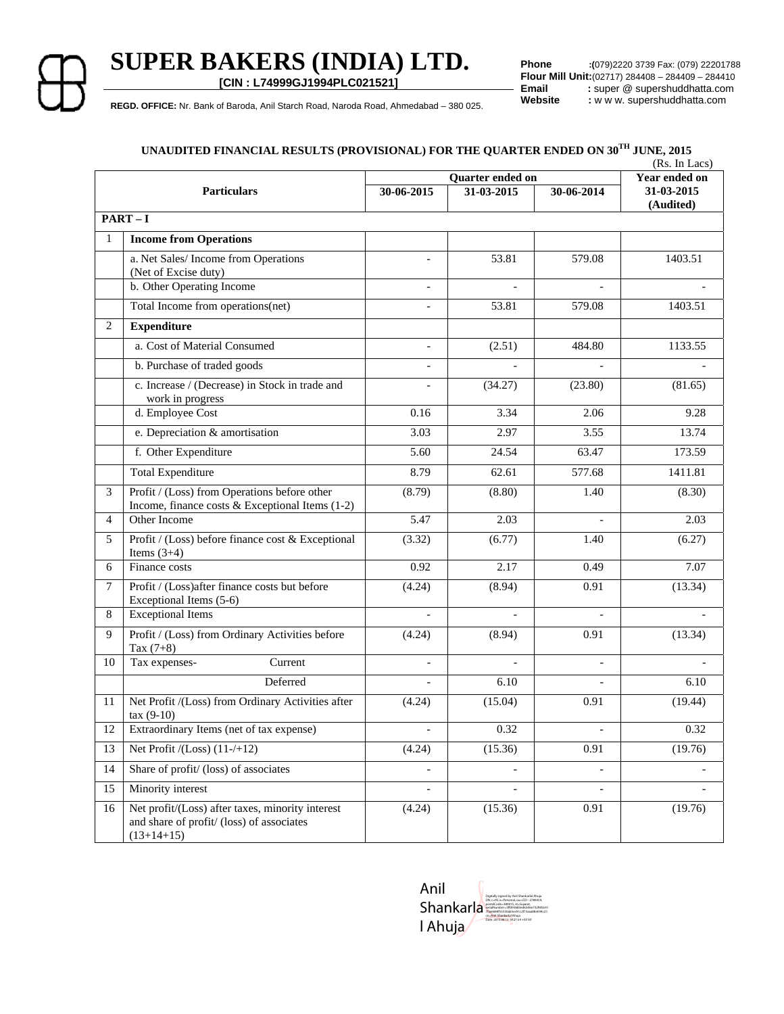## **SUPER BAKERS (INDIA) LTD.**

**[CIN : L74999GJ1994PLC021521]**

**Phone :(**079)2220 3739 Fax: (079) 22201788 **Flour Mill Unit:**(02717) 284408 – 284409 – 284410<br>**Email** : super @ supershuddhatta.com **Email** : super @ supershuddhatta.com<br> **Website** : w w w. supershuddhatta.com

REGD. OFFICE: Nr. Bank of Baroda, Anil Starch Road, Naroda Road, Ahmedabad - 380 025. Website : w w w. supershuddhatta.com

## **UNAUDITED FINANCIAL RESULTS (PROVISIONAL) FOR THE QUARTER ENDED ON 30TH JUNE, 2015**

|                    |                                                                                                               |                          |                |                          | (Rs. In Lacs)           |  |  |  |  |  |
|--------------------|---------------------------------------------------------------------------------------------------------------|--------------------------|----------------|--------------------------|-------------------------|--|--|--|--|--|
|                    |                                                                                                               | Quarter ended on         |                |                          | Year ended on           |  |  |  |  |  |
| <b>Particulars</b> |                                                                                                               | 30-06-2015               | 31-03-2015     | 30-06-2014               | 31-03-2015<br>(Audited) |  |  |  |  |  |
|                    | $PART-I$                                                                                                      |                          |                |                          |                         |  |  |  |  |  |
| 1                  | <b>Income from Operations</b>                                                                                 |                          |                |                          |                         |  |  |  |  |  |
|                    | a. Net Sales/Income from Operations<br>(Net of Excise duty)                                                   |                          | 53.81          | 579.08                   | 1403.51                 |  |  |  |  |  |
|                    | b. Other Operating Income                                                                                     |                          |                |                          |                         |  |  |  |  |  |
|                    | Total Income from operations(net)                                                                             |                          | 53.81          | 579.08                   | 1403.51                 |  |  |  |  |  |
| 2                  | <b>Expenditure</b>                                                                                            |                          |                |                          |                         |  |  |  |  |  |
|                    | a. Cost of Material Consumed                                                                                  | $\overline{\phantom{a}}$ | (2.51)         | 484.80                   | 1133.55                 |  |  |  |  |  |
|                    | b. Purchase of traded goods                                                                                   |                          |                |                          |                         |  |  |  |  |  |
|                    | c. Increase / (Decrease) in Stock in trade and<br>work in progress                                            |                          | (34.27)        | (23.80)                  | (81.65)                 |  |  |  |  |  |
|                    | d. Employee Cost                                                                                              | 0.16                     | 3.34           | 2.06                     | 9.28                    |  |  |  |  |  |
|                    | e. Depreciation & amortisation                                                                                | 3.03                     | 2.97           | 3.55                     | 13.74                   |  |  |  |  |  |
|                    | f. Other Expenditure                                                                                          | 5.60                     | 24.54          | 63.47                    | 173.59                  |  |  |  |  |  |
|                    | <b>Total Expenditure</b>                                                                                      | 8.79                     | 62.61          | 577.68                   | 1411.81                 |  |  |  |  |  |
| 3                  | Profit / (Loss) from Operations before other<br>Income, finance costs $&$ Exceptional Items (1-2)             | (8.79)                   | (8.80)         | 1.40                     | (8.30)                  |  |  |  |  |  |
| 4                  | Other Income                                                                                                  | 5.47                     | 2.03           |                          | 2.03                    |  |  |  |  |  |
| 5                  | Profit / (Loss) before finance cost & Exceptional<br>Items $(3+4)$                                            | (3.32)                   | (6.77)         | 1.40                     | (6.27)                  |  |  |  |  |  |
| 6                  | Finance costs                                                                                                 | 0.92                     | 2.17           | 0.49                     | 7.07                    |  |  |  |  |  |
| $\tau$             | Profit / (Loss) after finance costs but before<br>Exceptional Items (5-6)                                     | (4.24)                   | (8.94)         | 0.91                     | (13.34)                 |  |  |  |  |  |
| 8                  | <b>Exceptional Items</b>                                                                                      | $\overline{a}$           | $\overline{a}$ | $\overline{\phantom{a}}$ |                         |  |  |  |  |  |
| 9                  | Profit / (Loss) from Ordinary Activities before<br>Tax $(7+8)$                                                | (4.24)                   | (8.94)         | 0.91                     | (13.34)                 |  |  |  |  |  |
| 10                 | Current<br>Tax expenses-                                                                                      | $\overline{\phantom{a}}$ | $\overline{a}$ | $\blacksquare$           |                         |  |  |  |  |  |
|                    | Deferred                                                                                                      |                          | 6.10           |                          | 6.10                    |  |  |  |  |  |
| 11                 | Net Profit /(Loss) from Ordinary Activities after<br>$\text{tax}(9-10)$                                       | (4.24)                   | (15.04)        | 0.91                     | (19.44)                 |  |  |  |  |  |
| 12                 | Extraordinary Items (net of tax expense)                                                                      |                          | 0.32           |                          | 0.32                    |  |  |  |  |  |
| 13                 | Net Profit $/(Loss)$ $(11-/+12)$                                                                              | (4.24)                   | (15.36)        | 0.91                     | (19.76)                 |  |  |  |  |  |
| 14                 | Share of profit/ (loss) of associates                                                                         |                          |                |                          |                         |  |  |  |  |  |
| 15                 | Minority interest                                                                                             |                          |                |                          |                         |  |  |  |  |  |
| 16                 | Net profit/(Loss) after taxes, minority interest<br>and share of profit/ (loss) of associates<br>$(13+14+15)$ | (4.24)                   | (15.36)        | 0.91                     | (19.76)                 |  |  |  |  |  |

Anil **Shankarla** l Ahuja Digitally signed by Anil Shankarlal Ahuja DN: c=IN, o=Personal, ou=CID - 2789359, postalCode=380015, st=Gujarat, serialNumber=3ffd93683ed63d6e732f6fcb41 7faa6684f55550ab5ec91c2f73aaa88e094c27, cn=Anil Shankarlal Ahuja Date: 2015.08.13 14:21:54 +05'30'